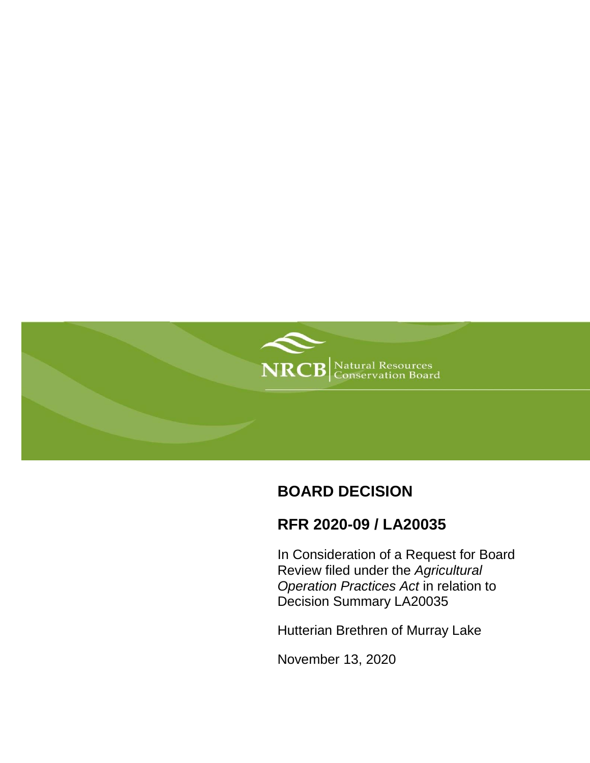

# **BOARD DECISION**

## **RFR 2020-09 / LA20035**

In Consideration of a Request for Board Review filed under the *Agricultural Operation Practices Act* in relation to Decision Summary LA20035

Hutterian Brethren of Murray Lake

November 13, 2020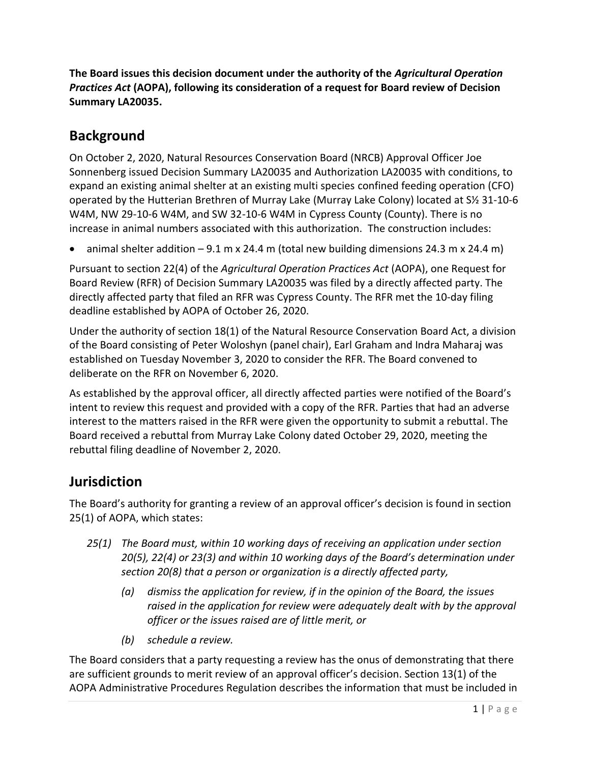**The Board issues this decision document under the authority of the** *Agricultural Operation Practices Act* **(AOPA), following its consideration of a request for Board review of Decision Summary LA20035.**

## **Background**

On October 2, 2020, Natural Resources Conservation Board (NRCB) Approval Officer Joe Sonnenberg issued Decision Summary LA20035 and Authorization LA20035 with conditions, to expand an existing animal shelter at an existing multi species confined feeding operation (CFO) operated by the Hutterian Brethren of Murray Lake (Murray Lake Colony) located at S½ 31-10-6 W4M, NW 29-10-6 W4M, and SW 32-10-6 W4M in Cypress County (County). There is no increase in animal numbers associated with this authorization. The construction includes:

animal shelter addition – 9.1 m x 24.4 m (total new building dimensions 24.3 m x 24.4 m)

Pursuant to section 22(4) of the *Agricultural Operation Practices Act* (AOPA), one Request for Board Review (RFR) of Decision Summary LA20035 was filed by a directly affected party. The directly affected party that filed an RFR was Cypress County. The RFR met the 10-day filing deadline established by AOPA of October 26, 2020.

Under the authority of section 18(1) of the Natural Resource Conservation Board Act, a division of the Board consisting of Peter Woloshyn (panel chair), Earl Graham and Indra Maharaj was established on Tuesday November 3, 2020 to consider the RFR. The Board convened to deliberate on the RFR on November 6, 2020.

As established by the approval officer, all directly affected parties were notified of the Board's intent to review this request and provided with a copy of the RFR. Parties that had an adverse interest to the matters raised in the RFR were given the opportunity to submit a rebuttal. The Board received a rebuttal from Murray Lake Colony dated October 29, 2020, meeting the rebuttal filing deadline of November 2, 2020.

## **Jurisdiction**

The Board's authority for granting a review of an approval officer's decision is found in section 25(1) of AOPA, which states:

- *25(1) The Board must, within 10 working days of receiving an application under section 20(5), 22(4) or 23(3) and within 10 working days of the Board's determination under section 20(8) that a person or organization is a directly affected party,*
	- *(a) dismiss the application for review, if in the opinion of the Board, the issues*  raised in the application for review were adequately dealt with by the approval *officer or the issues raised are of little merit, or*
	- *(b) schedule a review.*

The Board considers that a party requesting a review has the onus of demonstrating that there are sufficient grounds to merit review of an approval officer's decision. Section 13(1) of the AOPA Administrative Procedures Regulation describes the information that must be included in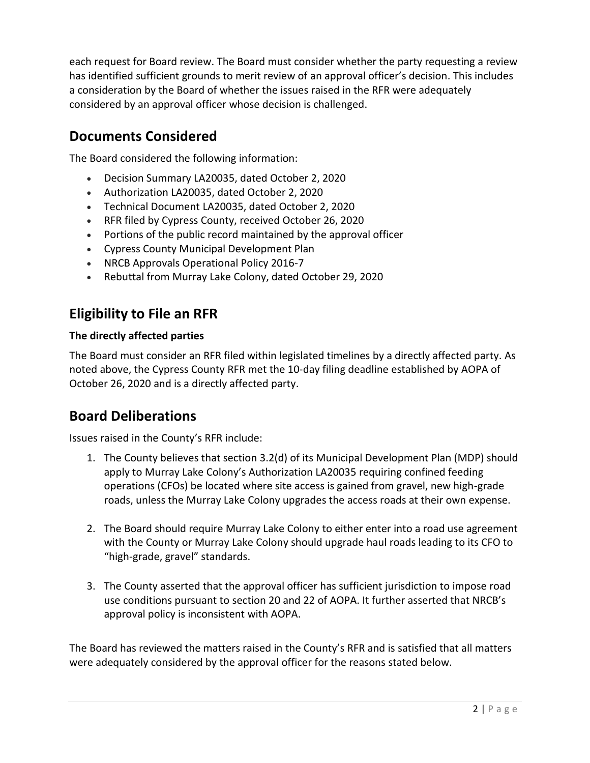each request for Board review. The Board must consider whether the party requesting a review has identified sufficient grounds to merit review of an approval officer's decision. This includes a consideration by the Board of whether the issues raised in the RFR were adequately considered by an approval officer whose decision is challenged.

## **Documents Considered**

The Board considered the following information:

- Decision Summary LA20035, dated October 2, 2020
- Authorization LA20035, dated October 2, 2020
- Technical Document LA20035, dated October 2, 2020
- RFR filed by Cypress County, received October 26, 2020
- Portions of the public record maintained by the approval officer
- Cypress County Municipal Development Plan
- NRCB Approvals Operational Policy 2016-7
- Rebuttal from Murray Lake Colony, dated October 29, 2020

## **Eligibility to File an RFR**

### **The directly affected parties**

The Board must consider an RFR filed within legislated timelines by a directly affected party. As noted above, the Cypress County RFR met the 10-day filing deadline established by AOPA of October 26, 2020 and is a directly affected party.

### **Board Deliberations**

Issues raised in the County's RFR include:

- 1. The County believes that section 3.2(d) of its Municipal Development Plan (MDP) should apply to Murray Lake Colony's Authorization LA20035 requiring confined feeding operations (CFOs) be located where site access is gained from gravel, new high-grade roads, unless the Murray Lake Colony upgrades the access roads at their own expense.
- 2. The Board should require Murray Lake Colony to either enter into a road use agreement with the County or Murray Lake Colony should upgrade haul roads leading to its CFO to "high-grade, gravel" standards.
- 3. The County asserted that the approval officer has sufficient jurisdiction to impose road use conditions pursuant to section 20 and 22 of AOPA. It further asserted that NRCB's approval policy is inconsistent with AOPA.

The Board has reviewed the matters raised in the County's RFR and is satisfied that all matters were adequately considered by the approval officer for the reasons stated below.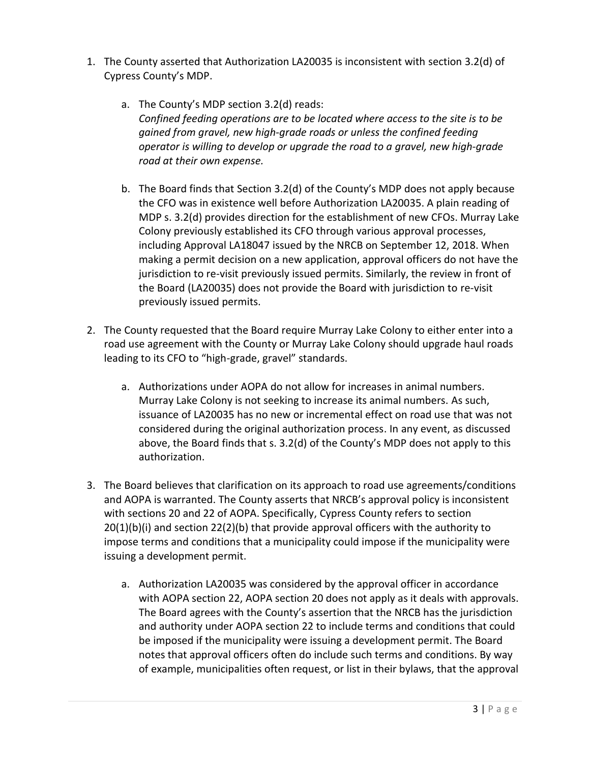- 1. The County asserted that Authorization LA20035 is inconsistent with section 3.2(d) of Cypress County's MDP.
	- a. The County's MDP section 3.2(d) reads: *Confined feeding operations are to be located where access to the site is to be gained from gravel, new high‐grade roads or unless the confined feeding operator is willing to develop or upgrade the road to a gravel, new high‐grade road at their own expense.*
	- b. The Board finds that Section 3.2(d) of the County's MDP does not apply because the CFO was in existence well before Authorization LA20035. A plain reading of MDP s. 3.2(d) provides direction for the establishment of new CFOs. Murray Lake Colony previously established its CFO through various approval processes, including Approval LA18047 issued by the NRCB on September 12, 2018. When making a permit decision on a new application, approval officers do not have the jurisdiction to re-visit previously issued permits. Similarly, the review in front of the Board (LA20035) does not provide the Board with jurisdiction to re-visit previously issued permits.
- 2. The County requested that the Board require Murray Lake Colony to either enter into a road use agreement with the County or Murray Lake Colony should upgrade haul roads leading to its CFO to "high-grade, gravel" standards.
	- a. Authorizations under AOPA do not allow for increases in animal numbers. Murray Lake Colony is not seeking to increase its animal numbers. As such, issuance of LA20035 has no new or incremental effect on road use that was not considered during the original authorization process. In any event, as discussed above, the Board finds that s. 3.2(d) of the County's MDP does not apply to this authorization.
- 3. The Board believes that clarification on its approach to road use agreements/conditions and AOPA is warranted. The County asserts that NRCB's approval policy is inconsistent with sections 20 and 22 of AOPA. Specifically, Cypress County refers to section  $20(1)(b)(i)$  and section  $22(2)(b)$  that provide approval officers with the authority to impose terms and conditions that a municipality could impose if the municipality were issuing a development permit.
	- a. Authorization LA20035 was considered by the approval officer in accordance with AOPA section 22, AOPA section 20 does not apply as it deals with approvals. The Board agrees with the County's assertion that the NRCB has the jurisdiction and authority under AOPA section 22 to include terms and conditions that could be imposed if the municipality were issuing a development permit. The Board notes that approval officers often do include such terms and conditions. By way of example, municipalities often request, or list in their bylaws, that the approval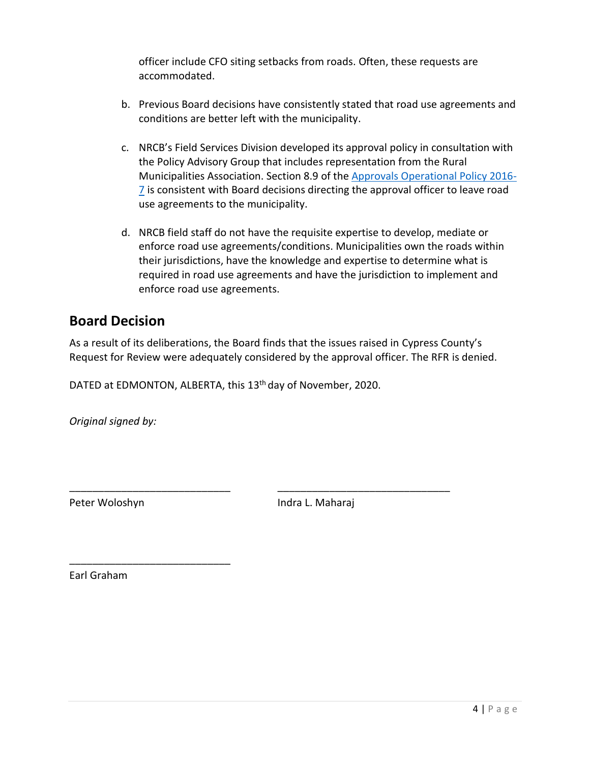officer include CFO siting setbacks from roads. Often, these requests are accommodated.

- b. Previous Board decisions have consistently stated that road use agreements and conditions are better left with the municipality.
- c. NRCB's Field Services Division developed its approval policy in consultation with the Policy Advisory Group that includes representation from the Rural Municipalities Association. Section 8.9 of the [Approvals Operational Policy 2016-](https://www.nrcb.ca/public/download/files/97525) [7](https://www.nrcb.ca/public/download/files/97525) is consistent with Board decisions directing the approval officer to leave road use agreements to the municipality.
- d. NRCB field staff do not have the requisite expertise to develop, mediate or enforce road use agreements/conditions. Municipalities own the roads within their jurisdictions, have the knowledge and expertise to determine what is required in road use agreements and have the jurisdiction to implement and enforce road use agreements.

### **Board Decision**

As a result of its deliberations, the Board finds that the issues raised in Cypress County's Request for Review were adequately considered by the approval officer. The RFR is denied.

\_\_\_\_\_\_\_\_\_\_\_\_\_\_\_\_\_\_\_\_\_\_\_\_\_\_\_\_ \_\_\_\_\_\_\_\_\_\_\_\_\_\_\_\_\_\_\_\_\_\_\_\_\_\_\_\_\_\_

DATED at EDMONTON, ALBERTA, this 13<sup>th</sup> day of November, 2020.

*Original signed by:*

\_\_\_\_\_\_\_\_\_\_\_\_\_\_\_\_\_\_\_\_\_\_\_\_\_\_\_\_

Peter Woloshyn **Indra L. Maharaj** 

Earl Graham